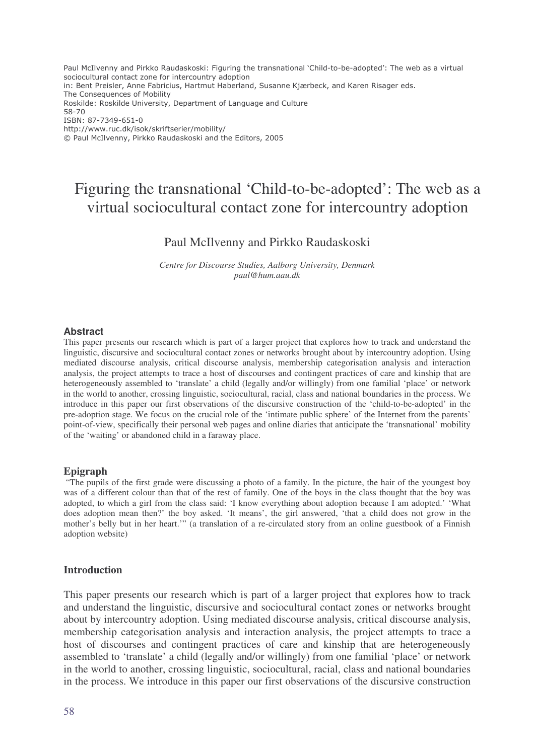Paul McIlvenny and Pirkko Raudaskoski: Figuring the transnational `Child-to-be-adopted': The web as a virtual sociocultural contact zone for intercountry adoption in: Bent Preisler, Anne Fabricius, Hartmut Haberland, Susanne Kjærbeck, and Karen Risager eds. The Consequences of Mobility Roskilde: Roskilde University, Department of Language and Culture 58-70 ISBN: 87-7349-651-0 http://www.ruc.dk/isok/skriftserier/mobility/ © Paul McIlvenny, Pirkko Raudaskoski and the Editors, 2005

# Figuring the transnational 'Child-to-be-adopted': The web as a virtual sociocultural contact zone for intercountry adoption

# Paul McIlvenny and Pirkko Raudaskoski

*Centre for Discourse Studies, Aalborg University, Denmark paul@hum.aau.dk*

#### **Abstract**

This paper presents our research which is part of a larger project that explores how to track and understand the linguistic, discursive and sociocultural contact zones or networks brought about by intercountry adoption. Using mediated discourse analysis, critical discourse analysis, membership categorisation analysis and interaction analysis, the project attempts to trace a host of discourses and contingent practices of care and kinship that are heterogeneously assembled to 'translate' a child (legally and/or willingly) from one familial 'place' or network in the world to another, crossing linguistic, sociocultural, racial, class and national boundaries in the process. We introduce in this paper our first observations of the discursive construction of the 'child-to-be-adopted' in the pre-adoption stage. We focus on the crucial role of the 'intimate public sphere' of the Internet from the parents' point-of-view, specifically their personal web pages and online diaries that anticipate the 'transnational' mobility of the 'waiting' or abandoned child in a faraway place.

#### **Epigraph**

"The pupils of the first grade were discussing a photo of a family. In the picture, the hair of the youngest boy was of a different colour than that of the rest of family. One of the boys in the class thought that the boy was adopted, to which a girl from the class said: 'I know everything about adoption because I am adopted.' 'What does adoption mean then?' the boy asked. 'It means', the girl answered, 'that a child does not grow in the mother's belly but in her heart.'" (a translation of a re-circulated story from an online guestbook of a Finnish adoption website)

#### **Introduction**

This paper presents our research which is part of a larger project that explores how to track and understand the linguistic, discursive and sociocultural contact zones or networks brought about by intercountry adoption. Using mediated discourse analysis, critical discourse analysis, membership categorisation analysis and interaction analysis, the project attempts to trace a host of discourses and contingent practices of care and kinship that are heterogeneously assembled to 'translate' a child (legally and/or willingly) from one familial 'place' or network in the world to another, crossing linguistic, sociocultural, racial, class and national boundaries in the process. We introduce in this paper our first observations of the discursive construction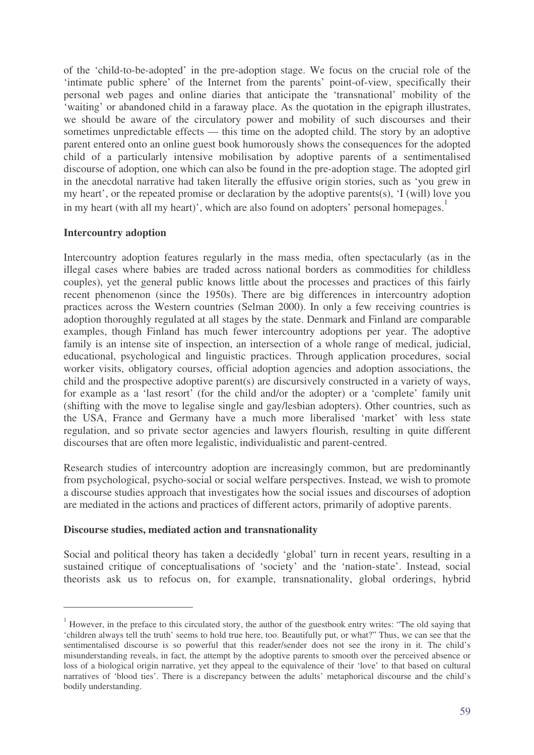of the 'child-to-be-adopted' in the pre-adoption stage. We focus on the crucial role of the 'intimate public sphere' of the Internet from the parents' point-of-view, specifically their personal web pages and online diaries that anticipate the 'transnational' mobility of the 'waiting' or abandoned child in a faraway place. As the quotation in the epigraph illustrates, we should be aware of the circulatory power and mobility of such discourses and their sometimes unpredictable effects — this time on the adopted child. The story by an adoptive parent entered onto an online guest book humorously shows the consequences for the adopted child of a particularly intensive mobilisation by adoptive parents of a sentimentalised discourse of adoption, one which can also be found in the pre-adoption stage. The adopted girl in the anecdotal narrative had taken literally the effusive origin stories, such as 'you grew in my heart', or the repeated promise or declaration by the adoptive parents(s), 'I (will) love you in my heart (with all my heart)', which are also found on adopters' personal homepages.<sup>1</sup>

## **Intercountry adoption**

Intercountry adoption features regularly in the mass media, often spectacularly (as in the illegal cases where babies are traded across national borders as commodities for childless couples), yet the general public knows little about the processes and practices of this fairly recent phenomenon (since the 1950s). There are big differences in intercountry adoption practices across the Western countries (Selman 2000). In only a few receiving countries is adoption thoroughly regulated at all stages by the state. Denmark and Finland are comparable examples, though Finland has much fewer intercountry adoptions per year. The adoptive family is an intense site of inspection, an intersection of a whole range of medical, judicial, educational, psychological and linguistic practices. Through application procedures, social worker visits, obligatory courses, official adoption agencies and adoption associations, the child and the prospective adoptive parent(s) are discursively constructed in a variety of ways, for example as a 'last resort' (for the child and/or the adopter) or a 'complete' family unit (shifting with the move to legalise single and gay/lesbian adopters). Other countries, such as the USA, France and Germany have a much more liberalised 'market' with less state regulation, and so private sector agencies and lawyers flourish, resulting in quite different discourses that are often more legalistic, individualistic and parent-centred.

Research studies of intercountry adoption are increasingly common, but are predominantly from psychological, psycho-social or social welfare perspectives. Instead, we wish to promote a discourse studies approach that investigates how the social issues and discourses of adoption are mediated in the actions and practices of different actors, primarily of adoptive parents.

## **Discourse studies, mediated action and transnationality**

Social and political theory has taken a decidedly 'global' turn in recent years, resulting in a sustained critique of conceptualisations of 'society' and the 'nation-state'. Instead, social theorists ask us to refocus on, for example, transnationality, global orderings, hybrid

<sup>&</sup>lt;sup>1</sup> However, in the preface to this circulated story, the author of the guestbook entry writes: "The old saying that 'children always tell the truth' seems to hold true here, too. Beautifully put, or what?" Thus, we can see that the sentimentalised discourse is so powerful that this reader/sender does not see the irony in it. The child's misunderstanding reveals, in fact, the attempt by the adoptive parents to smooth over the perceived absence or loss of a biological origin narrative, yet they appeal to the equivalence of their 'love' to that based on cultural narratives of 'blood ties'. There is a discrepancy between the adults' metaphorical discourse and the child's bodily understanding.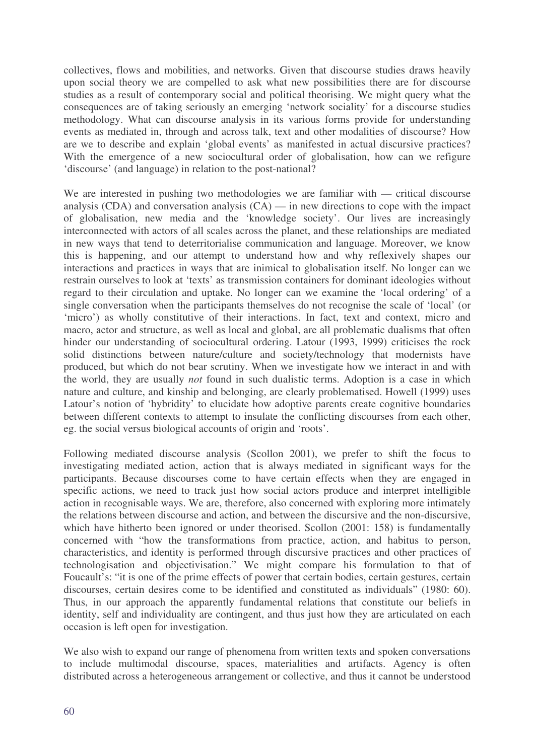collectives, flows and mobilities, and networks. Given that discourse studies draws heavily upon social theory we are compelled to ask what new possibilities there are for discourse studies as a result of contemporary social and political theorising. We might query what the consequences are of taking seriously an emerging 'network sociality' for a discourse studies methodology. What can discourse analysis in its various forms provide for understanding events as mediated in, through and across talk, text and other modalities of discourse? How are we to describe and explain 'global events' as manifested in actual discursive practices? With the emergence of a new sociocultural order of globalisation, how can we refigure 'discourse' (and language) in relation to the post-national?

We are interested in pushing two methodologies we are familiar with — critical discourse analysis (CDA) and conversation analysis  $(CA)$  — in new directions to cope with the impact of globalisation, new media and the 'knowledge society'. Our lives are increasingly interconnected with actors of all scales across the planet, and these relationships are mediated in new ways that tend to deterritorialise communication and language. Moreover, we know this is happening, and our attempt to understand how and why reflexively shapes our interactions and practices in ways that are inimical to globalisation itself. No longer can we restrain ourselves to look at 'texts' as transmission containers for dominant ideologies without regard to their circulation and uptake. No longer can we examine the 'local ordering' of a single conversation when the participants themselves do not recognise the scale of 'local' (or 'micro') as wholly constitutive of their interactions. In fact, text and context, micro and macro, actor and structure, as well as local and global, are all problematic dualisms that often hinder our understanding of sociocultural ordering. Latour (1993, 1999) criticises the rock solid distinctions between nature/culture and society/technology that modernists have produced, but which do not bear scrutiny. When we investigate how we interact in and with the world, they are usually *not* found in such dualistic terms. Adoption is a case in which nature and culture, and kinship and belonging, are clearly problematised. Howell (1999) uses Latour's notion of 'hybridity' to elucidate how adoptive parents create cognitive boundaries between different contexts to attempt to insulate the conflicting discourses from each other, eg. the social versus biological accounts of origin and 'roots'.

Following mediated discourse analysis (Scollon 2001), we prefer to shift the focus to investigating mediated action, action that is always mediated in significant ways for the participants. Because discourses come to have certain effects when they are engaged in specific actions, we need to track just how social actors produce and interpret intelligible action in recognisable ways. We are, therefore, also concerned with exploring more intimately the relations between discourse and action, and between the discursive and the non-discursive, which have hitherto been ignored or under theorised. Scollon (2001: 158) is fundamentally concerned with "how the transformations from practice, action, and habitus to person, characteristics, and identity is performed through discursive practices and other practices of technologisation and objectivisation." We might compare his formulation to that of Foucault's: "it is one of the prime effects of power that certain bodies, certain gestures, certain discourses, certain desires come to be identified and constituted as individuals" (1980: 60). Thus, in our approach the apparently fundamental relations that constitute our beliefs in identity, self and individuality are contingent, and thus just how they are articulated on each occasion is left open for investigation.

We also wish to expand our range of phenomena from written texts and spoken conversations to include multimodal discourse, spaces, materialities and artifacts. Agency is often distributed across a heterogeneous arrangement or collective, and thus it cannot be understood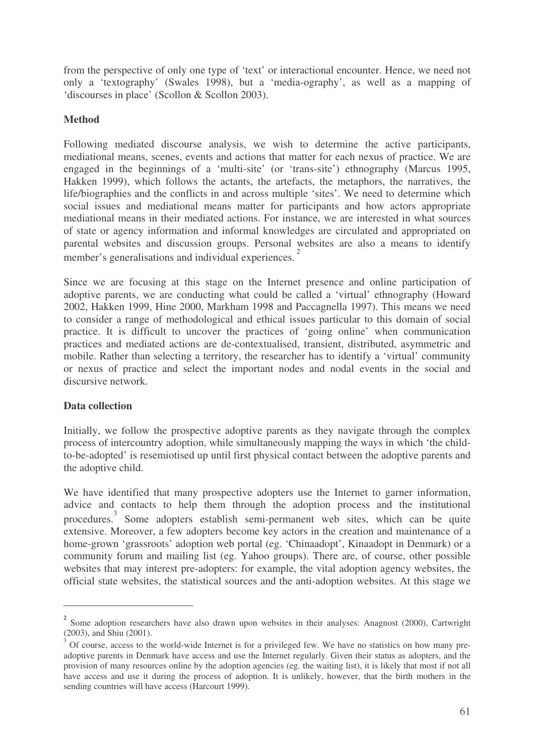from the perspective of only one type of 'text' or interactional encounter. Hence, we need not only a 'textography' (Swales 1998), but a 'media-ography', as well as a mapping of 'discourses in place' (Scollon & Scollon 2003).

# **Method**

Following mediated discourse analysis, we wish to determine the active participants, mediational means, scenes, events and actions that matter for each nexus of practice. We are engaged in the beginnings of a 'multi-site' (or 'trans-site') ethnography (Marcus 1995, Hakken 1999), which follows the actants, the artefacts, the metaphors, the narratives, the life/biographies and the conflicts in and across multiple 'sites'. We need to determine which social issues and mediational means matter for participants and how actors appropriate mediational means in their mediated actions. For instance, we are interested in what sources of state or agency information and informal knowledges are circulated and appropriated on parental websites and discussion groups. Personal websites are also a means to identify member's generalisations and individual experiences.<sup>2</sup>

Since we are focusing at this stage on the Internet presence and online participation of adoptive parents, we are conducting what could be called a 'virtual' ethnography (Howard 2002, Hakken 1999, Hine 2000, Markham 1998 and Paccagnella 1997). This means we need to consider a range of methodological and ethical issues particular to this domain of social practice. It is difficult to uncover the practices of 'going online' when communication practices and mediated actions are de-contextualised, transient, distributed, asymmetric and mobile. Rather than selecting a territory, the researcher has to identify a 'virtual' community or nexus of practice and select the important nodes and nodal events in the social and discursive network.

# **Data collection**

Initially, we follow the prospective adoptive parents as they navigate through the complex process of intercountry adoption, while simultaneously mapping the ways in which 'the childto-be-adopted' is resemiotised up until first physical contact between the adoptive parents and the adoptive child.

We have identified that many prospective adopters use the Internet to garner information, advice and contacts to help them through the adoption process and the institutional procedures. 3 Some adopters establish semi-permanent web sites, which can be quite extensive. Moreover, a few adopters become key actors in the creation and maintenance of a home-grown 'grassroots' adoption web portal (eg. 'Chinaadopt', Kinaadopt in Denmark) or a community forum and mailing list (eg. Yahoo groups). There are, of course, other possible websites that may interest pre-adopters: for example, the vital adoption agency websites, the official state websites, the statistical sources and the anti-adoption websites. At this stage we

**<sup>2</sup>** Some adoption researchers have also drawn upon websites in their analyses: Anagnost (2000), Cartwright (2003), and Shiu (2001).

<sup>3</sup> Of course, access to the world-wide Internet is for a privileged few. We have no statistics on how many preadoptive parents in Denmark have access and use the Internet regularly. Given their status as adopters, and the provision of many resources online by the adoption agencies (eg. the waiting list), it is likely that most if not all have access and use it during the process of adoption. It is unlikely, however, that the birth mothers in the sending countries will have access (Harcourt 1999).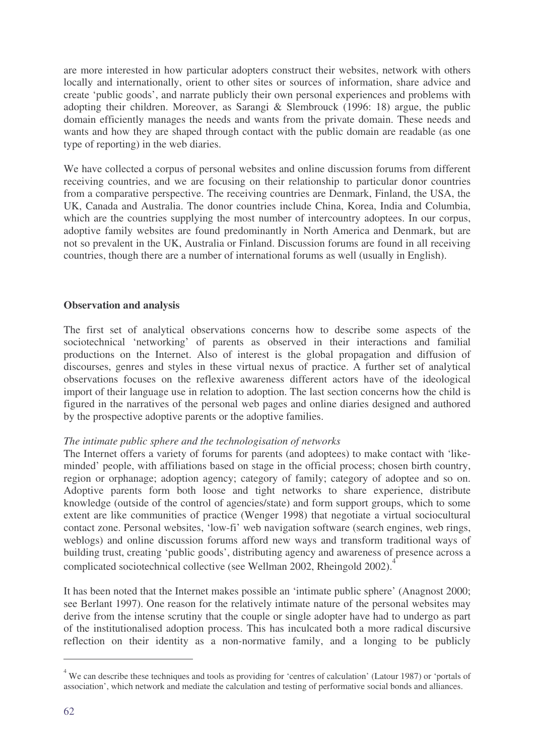are more interested in how particular adopters construct their websites, network with others locally and internationally, orient to other sites or sources of information, share advice and create 'public goods', and narrate publicly their own personal experiences and problems with adopting their children. Moreover, as Sarangi & Slembrouck (1996: 18) argue, the public domain efficiently manages the needs and wants from the private domain. These needs and wants and how they are shaped through contact with the public domain are readable (as one type of reporting) in the web diaries.

We have collected a corpus of personal websites and online discussion forums from different receiving countries, and we are focusing on their relationship to particular donor countries from a comparative perspective. The receiving countries are Denmark, Finland, the USA, the UK, Canada and Australia. The donor countries include China, Korea, India and Columbia, which are the countries supplying the most number of intercountry adoptees. In our corpus, adoptive family websites are found predominantly in North America and Denmark, but are not so prevalent in the UK, Australia or Finland. Discussion forums are found in all receiving countries, though there are a number of international forums as well (usually in English).

# **Observation and analysis**

The first set of analytical observations concerns how to describe some aspects of the sociotechnical 'networking' of parents as observed in their interactions and familial productions on the Internet. Also of interest is the global propagation and diffusion of discourses, genres and styles in these virtual nexus of practice. A further set of analytical observations focuses on the reflexive awareness different actors have of the ideological import of their language use in relation to adoption. The last section concerns how the child is figured in the narratives of the personal web pages and online diaries designed and authored by the prospective adoptive parents or the adoptive families.

## *The intimate public sphere and the technologisation of networks*

The Internet offers a variety of forums for parents (and adoptees) to make contact with 'likeminded' people, with affiliations based on stage in the official process; chosen birth country, region or orphanage; adoption agency; category of family; category of adoptee and so on. Adoptive parents form both loose and tight networks to share experience, distribute knowledge (outside of the control of agencies/state) and form support groups, which to some extent are like communities of practice (Wenger 1998) that negotiate a virtual sociocultural contact zone. Personal websites, 'low-fi' web navigation software (search engines, web rings, weblogs) and online discussion forums afford new ways and transform traditional ways of building trust, creating 'public goods', distributing agency and awareness of presence across a complicated sociotechnical collective (see Wellman 2002, Rheingold 2002). 4

It has been noted that the Internet makes possible an 'intimate public sphere' (Anagnost 2000; see Berlant 1997). One reason for the relatively intimate nature of the personal websites may derive from the intense scrutiny that the couple or single adopter have had to undergo as part of the institutionalised adoption process. This has inculcated both a more radical discursive reflection on their identity as a non-normative family, and a longing to be publicly

<sup>4</sup> We can describe these techniques and tools as providing for 'centres of calculation' (Latour 1987) or 'portals of association', which network and mediate the calculation and testing of performative social bonds and alliances.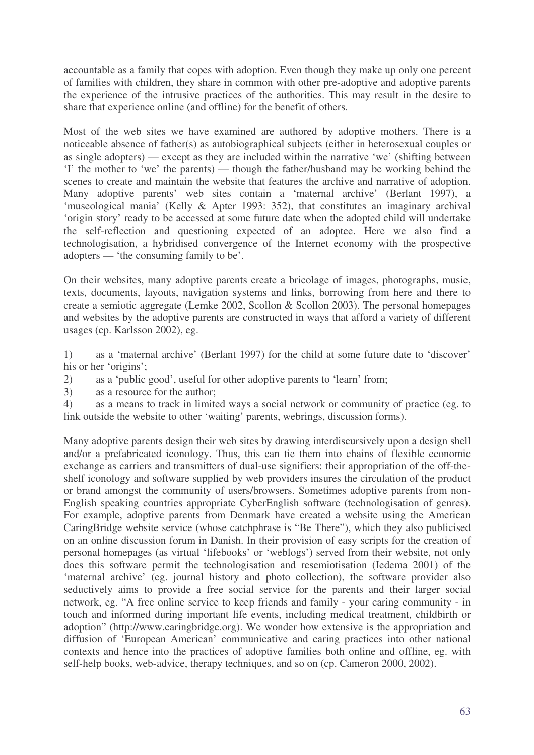accountable as a family that copes with adoption. Even though they make up only one percent of families with children, they share in common with other pre-adoptive and adoptive parents the experience of the intrusive practices of the authorities. This may result in the desire to share that experience online (and offline) for the benefit of others.

Most of the web sites we have examined are authored by adoptive mothers. There is a noticeable absence of father(s) as autobiographical subjects (either in heterosexual couples or as single adopters) — except as they are included within the narrative 'we' (shifting between 'I' the mother to 'we' the parents) — though the father/husband may be working behind the scenes to create and maintain the website that features the archive and narrative of adoption. Many adoptive parents' web sites contain a 'maternal archive' (Berlant 1997), a 'museological mania' (Kelly & Apter 1993: 352), that constitutes an imaginary archival 'origin story' ready to be accessed at some future date when the adopted child will undertake the self-reflection and questioning expected of an adoptee. Here we also find a technologisation, a hybridised convergence of the Internet economy with the prospective adopters — 'the consuming family to be'.

On their websites, many adoptive parents create a bricolage of images, photographs, music, texts, documents, layouts, navigation systems and links, borrowing from here and there to create a semiotic aggregate (Lemke 2002, Scollon & Scollon 2003). The personal homepages and websites by the adoptive parents are constructed in ways that afford a variety of different usages (cp. Karlsson 2002), eg.

1) as a 'maternal archive' (Berlant 1997) for the child at some future date to 'discover' his or her 'origins';

2) as a 'public good', useful for other adoptive parents to 'learn' from;

3) as a resource for the author;

4) as a means to track in limited ways a social network or community of practice (eg. to link outside the website to other 'waiting' parents, webrings, discussion forms).

Many adoptive parents design their web sites by drawing interdiscursively upon a design shell and/or a prefabricated iconology. Thus, this can tie them into chains of flexible economic exchange as carriers and transmitters of dual-use signifiers: their appropriation of the off-theshelf iconology and software supplied by web providers insures the circulation of the product or brand amongst the community of users/browsers. Sometimes adoptive parents from non-English speaking countries appropriate CyberEnglish software (technologisation of genres). For example, adoptive parents from Denmark have created a website using the American CaringBridge website service (whose catchphrase is "Be There"), which they also publicised on an online discussion forum in Danish. In their provision of easy scripts for the creation of personal homepages (as virtual 'lifebooks' or 'weblogs') served from their website, not only does this software permit the technologisation and resemiotisation (Iedema 2001) of the 'maternal archive' (eg. journal history and photo collection), the software provider also seductively aims to provide a free social service for the parents and their larger social network, eg. "A free online service to keep friends and family - your caring community - in touch and informed during important life events, including medical treatment, childbirth or adoption" (http://www.caringbridge.org). We wonder how extensive is the appropriation and diffusion of 'European American' communicative and caring practices into other national contexts and hence into the practices of adoptive families both online and offline, eg. with self-help books, web-advice, therapy techniques, and so on (cp. Cameron 2000, 2002).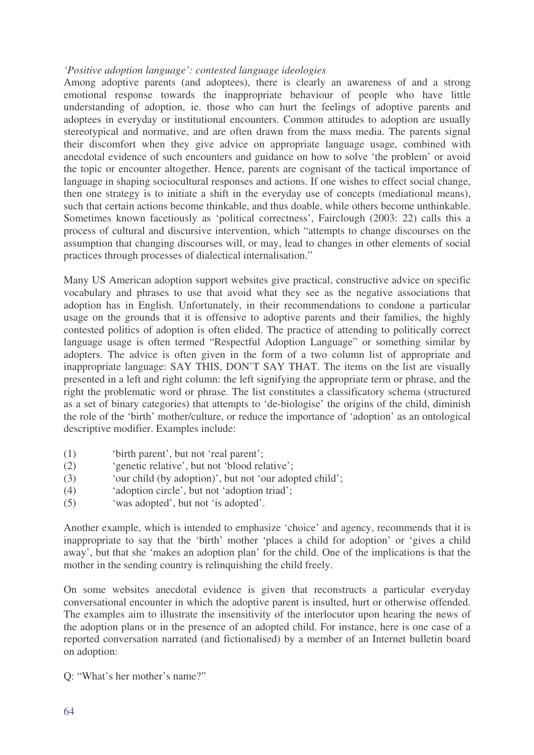## *'Positive adoption language': contested language ideologies*

Among adoptive parents (and adoptees), there is clearly an awareness of and a strong emotional response towards the inappropriate behaviour of people who have little understanding of adoption, ie. those who can hurt the feelings of adoptive parents and adoptees in everyday or institutional encounters. Common attitudes to adoption are usually stereotypical and normative, and are often drawn from the mass media. The parents signal their discomfort when they give advice on appropriate language usage, combined with anecdotal evidence of such encounters and guidance on how to solve 'the problem' or avoid the topic or encounter altogether. Hence, parents are cognisant of the tactical importance of language in shaping sociocultural responses and actions. If one wishes to effect social change, then one strategy is to initiate a shift in the everyday use of concepts (mediational means), such that certain actions become thinkable, and thus doable, while others become unthinkable. Sometimes known facetiously as 'political correctness', Fairclough (2003: 22) calls this a process of cultural and discursive intervention, which "attempts to change discourses on the assumption that changing discourses will, or may, lead to changes in other elements of social practices through processes of dialectical internalisation."

Many US American adoption support websites give practical, constructive advice on specific vocabulary and phrases to use that avoid what they see as the negative associations that adoption has in English. Unfortunately, in their recommendations to condone a particular usage on the grounds that it is offensive to adoptive parents and their families, the highly contested politics of adoption is often elided. The practice of attending to politically correct language usage is often termed "Respectful Adoption Language" or something similar by adopters. The advice is often given in the form of a two column list of appropriate and inappropriate language: SAY THIS, DON'T SAY THAT. The items on the list are visually presented in a left and right column: the left signifying the appropriate term or phrase, and the right the problematic word or phrase. The list constitutes a classificatory schema (structured as a set of binary categories) that attempts to 'de-biologise' the origins of the child, diminish the role of the 'birth' mother/culture, or reduce the importance of 'adoption' as an ontological descriptive modifier. Examples include:

- (1) 'birth parent', but not 'real parent';
- (2) 'genetic relative', but not 'blood relative';
- (3) 'our child (by adoption)', but not 'our adopted child';
- (4) 'adoption circle', but not 'adoption triad';
- (5) 'was adopted', but not 'is adopted'.

Another example, which is intended to emphasize 'choice' and agency, recommends that it is inappropriate to say that the 'birth' mother 'places a child for adoption' or 'gives a child away', but that she 'makes an adoption plan' for the child. One of the implications is that the mother in the sending country is relinquishing the child freely.

On some websites anecdotal evidence is given that reconstructs a particular everyday conversational encounter in which the adoptive parent is insulted, hurt or otherwise offended. The examples aim to illustrate the insensitivity of the interlocutor upon hearing the news of the adoption plans or in the presence of an adopted child. For instance, here is one case of a reported conversation narrated (and fictionalised) by a member of an Internet bulletin board on adoption:

Q: "What's her mother's name?"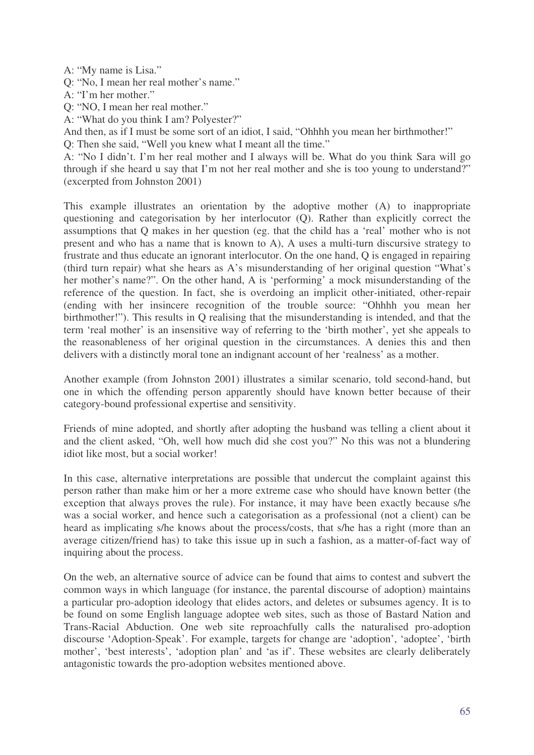A: "My name is Lisa."

Q: "No, I mean her real mother's name."

A: "I'm her mother."

Q: "NO, I mean her real mother."

A: "What do you think I am? Polyester?"

And then, as if I must be some sort of an idiot, I said, "Ohhhh you mean her birthmother!"

Q: Then she said, "Well you knew what I meant all the time."

A: "No I didn't. I'm her real mother and I always will be. What do you think Sara will go through if she heard u say that I'm not her real mother and she is too young to understand?" (excerpted from Johnston 2001)

This example illustrates an orientation by the adoptive mother (A) to inappropriate questioning and categorisation by her interlocutor (Q). Rather than explicitly correct the assumptions that Q makes in her question (eg. that the child has a 'real' mother who is not present and who has a name that is known to A), A uses a multi-turn discursive strategy to frustrate and thus educate an ignorant interlocutor. On the one hand, Q is engaged in repairing (third turn repair) what she hears as A's misunderstanding of her original question "What's her mother's name?". On the other hand, A is 'performing' a mock misunderstanding of the reference of the question. In fact, she is overdoing an implicit other-initiated, other-repair (ending with her insincere recognition of the trouble source: "Ohhhh you mean her birthmother!"). This results in Q realising that the misunderstanding is intended, and that the term 'real mother' is an insensitive way of referring to the 'birth mother', yet she appeals to the reasonableness of her original question in the circumstances. A denies this and then delivers with a distinctly moral tone an indignant account of her 'realness' as a mother.

Another example (from Johnston 2001) illustrates a similar scenario, told second-hand, but one in which the offending person apparently should have known better because of their category-bound professional expertise and sensitivity.

Friends of mine adopted, and shortly after adopting the husband was telling a client about it and the client asked, "Oh, well how much did she cost you?" No this was not a blundering idiot like most, but a social worker!

In this case, alternative interpretations are possible that undercut the complaint against this person rather than make him or her a more extreme case who should have known better (the exception that always proves the rule). For instance, it may have been exactly because s/he was a social worker, and hence such a categorisation as a professional (not a client) can be heard as implicating s/he knows about the process/costs, that s/he has a right (more than an average citizen/friend has) to take this issue up in such a fashion, as a matter-of-fact way of inquiring about the process.

On the web, an alternative source of advice can be found that aims to contest and subvert the common ways in which language (for instance, the parental discourse of adoption) maintains a particular pro-adoption ideology that elides actors, and deletes or subsumes agency. It is to be found on some English language adoptee web sites, such as those of Bastard Nation and Trans-Racial Abduction. One web site reproachfully calls the naturalised pro-adoption discourse 'Adoption-Speak'. For example, targets for change are 'adoption', 'adoptee', 'birth mother', 'best interests', 'adoption plan' and 'as if'. These websites are clearly deliberately antagonistic towards the pro-adoption websites mentioned above.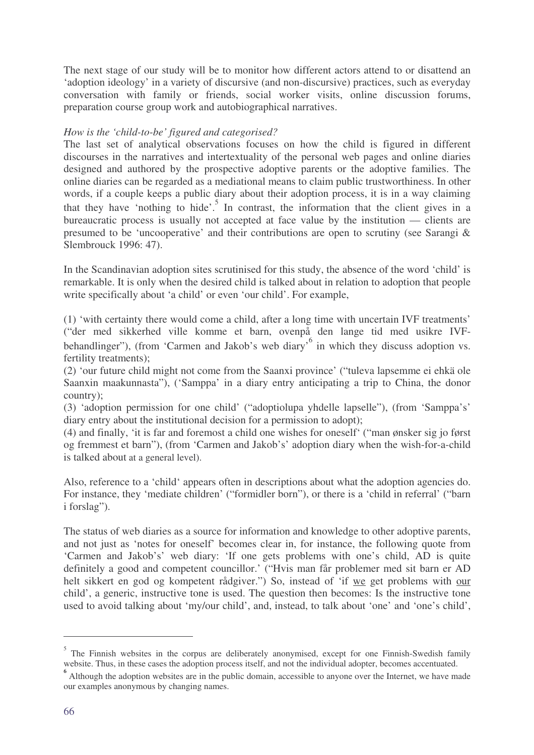The next stage of our study will be to monitor how different actors attend to or disattend an 'adoption ideology' in a variety of discursive (and non-discursive) practices, such as everyday conversation with family or friends, social worker visits, online discussion forums, preparation course group work and autobiographical narratives.

# *How is the 'child-to-be' figured and categorised?*

The last set of analytical observations focuses on how the child is figured in different discourses in the narratives and intertextuality of the personal web pages and online diaries designed and authored by the prospective adoptive parents or the adoptive families. The online diaries can be regarded as a mediational means to claim public trustworthiness. In other words, if a couple keeps a public diary about their adoption process, it is in a way claiming that they have 'nothing to hide'. 5 In contrast, the information that the client gives in a bureaucratic process is usually not accepted at face value by the institution — clients are presumed to be 'uncooperative' and their contributions are open to scrutiny (see Sarangi & Slembrouck 1996: 47).

In the Scandinavian adoption sites scrutinised for this study, the absence of the word 'child' is remarkable. It is only when the desired child is talked about in relation to adoption that people write specifically about 'a child' or even 'our child'. For example,

(1) 'with certainty there would come a child, after a long time with uncertain IVF treatments' ("der med sikkerhed ville komme et barn, ovenpå den lange tid med usikre IVFbehandlinger"), (from 'Carmen and Jakob's web diary'<sup>6</sup> in which they discuss adoption vs. fertility treatments);

(2) 'our future child might not come from the Saanxi province' ("tuleva lapsemme ei ehkä ole Saanxin maakunnasta"), ('Samppa' in a diary entry anticipating a trip to China, the donor country);

(3) 'adoption permission for one child' ("adoptiolupa yhdelle lapselle"), (from 'Samppa's' diary entry about the institutional decision for a permission to adopt);

(4) and finally, 'it is far and foremost a child one wishes for oneself' ("man ønsker sig jo først og fremmest et barn"), (from 'Carmen and Jakob's' adoption diary when the wish-for-a-child is talked about at a general level).

Also, reference to a 'child' appears often in descriptions about what the adoption agencies do. For instance, they 'mediate children' ("formidler born"), or there is a 'child in referral' ("barn i forslag").

The status of web diaries as a source for information and knowledge to other adoptive parents, and not just as 'notes for oneself' becomes clear in, for instance, the following quote from 'Carmen and Jakob's' web diary: 'If one gets problems with one's child, AD is quite definitely a good and competent councillor.' ("Hvis man får problemer med sit barn er AD helt sikkert en god og kompetent rådgiver.") So, instead of 'if we get problems with our child', a generic, instructive tone is used. The question then becomes: Is the instructive tone used to avoid talking about 'my/our child', and, instead, to talk about 'one' and 'one's child',

<sup>5</sup> The Finnish websites in the corpus are deliberately anonymised, except for one Finnish-Swedish family website. Thus, in these cases the adoption process itself, and not the individual adopter, becomes accentuated.

<sup>&</sup>lt;sup>6</sup> Although the adoption websites are in the public domain, accessible to anyone over the Internet, we have made our examples anonymous by changing names.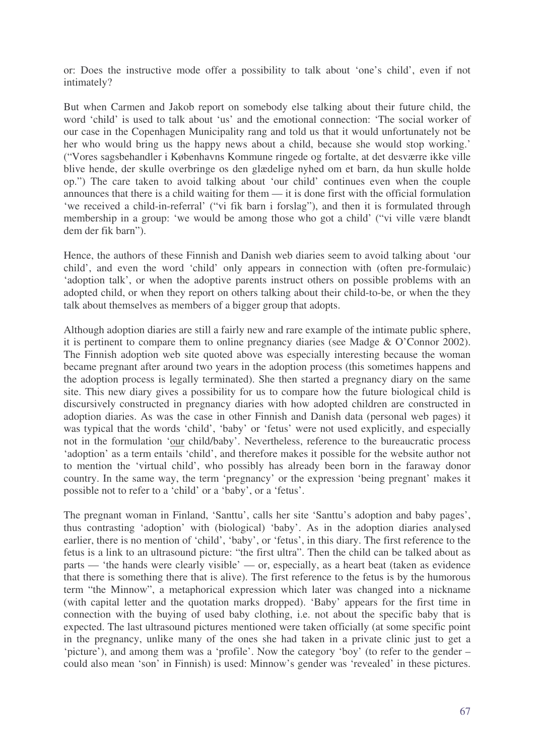or: Does the instructive mode offer a possibility to talk about 'one's child', even if not intimately?

But when Carmen and Jakob report on somebody else talking about their future child, the word 'child' is used to talk about 'us' and the emotional connection: 'The social worker of our case in the Copenhagen Municipality rang and told us that it would unfortunately not be her who would bring us the happy news about a child, because she would stop working.' ("Vores sagsbehandler i Københavns Kommune ringede og fortalte, at det desværre ikke ville blive hende, der skulle overbringe os den glædelige nyhed om et barn, da hun skulle holde op.") The care taken to avoid talking about 'our child' continues even when the couple announces that there is a child waiting for them — it is done first with the official formulation 'we received a child-in-referral' ("vi fik barn i forslag"), and then it is formulated through membership in a group: 'we would be among those who got a child' ("vi ville være blandt dem der fik barn").

Hence, the authors of these Finnish and Danish web diaries seem to avoid talking about 'our child', and even the word 'child' only appears in connection with (often pre-formulaic) 'adoption talk', or when the adoptive parents instruct others on possible problems with an adopted child, or when they report on others talking about their child-to-be, or when the they talk about themselves as members of a bigger group that adopts.

Although adoption diaries are still a fairly new and rare example of the intimate public sphere, it is pertinent to compare them to online pregnancy diaries (see Madge & O'Connor 2002). The Finnish adoption web site quoted above was especially interesting because the woman became pregnant after around two years in the adoption process (this sometimes happens and the adoption process is legally terminated). She then started a pregnancy diary on the same site. This new diary gives a possibility for us to compare how the future biological child is discursively constructed in pregnancy diaries with how adopted children are constructed in adoption diaries. As was the case in other Finnish and Danish data (personal web pages) it was typical that the words 'child', 'baby' or 'fetus' were not used explicitly, and especially not in the formulation 'our child/baby'. Nevertheless, reference to the bureaucratic process 'adoption' as a term entails 'child', and therefore makes it possible for the website author not to mention the 'virtual child', who possibly has already been born in the faraway donor country. In the same way, the term 'pregnancy' or the expression 'being pregnant' makes it possible not to refer to a 'child' or a 'baby', or a 'fetus'.

The pregnant woman in Finland, 'Santtu', calls her site 'Santtu's adoption and baby pages', thus contrasting 'adoption' with (biological) 'baby'. As in the adoption diaries analysed earlier, there is no mention of 'child', 'baby', or 'fetus', in this diary. The first reference to the fetus is a link to an ultrasound picture: "the first ultra". Then the child can be talked about as parts — 'the hands were clearly visible' — or, especially, as a heart beat (taken as evidence that there is something there that is alive). The first reference to the fetus is by the humorous term "the Minnow", a metaphorical expression which later was changed into a nickname (with capital letter and the quotation marks dropped). 'Baby' appears for the first time in connection with the buying of used baby clothing, i.e. not about the specific baby that is expected. The last ultrasound pictures mentioned were taken officially (at some specific point in the pregnancy, unlike many of the ones she had taken in a private clinic just to get a 'picture'), and among them was a 'profile'. Now the category 'boy' (to refer to the gender – could also mean 'son' in Finnish) is used: Minnow's gender was 'revealed' in these pictures.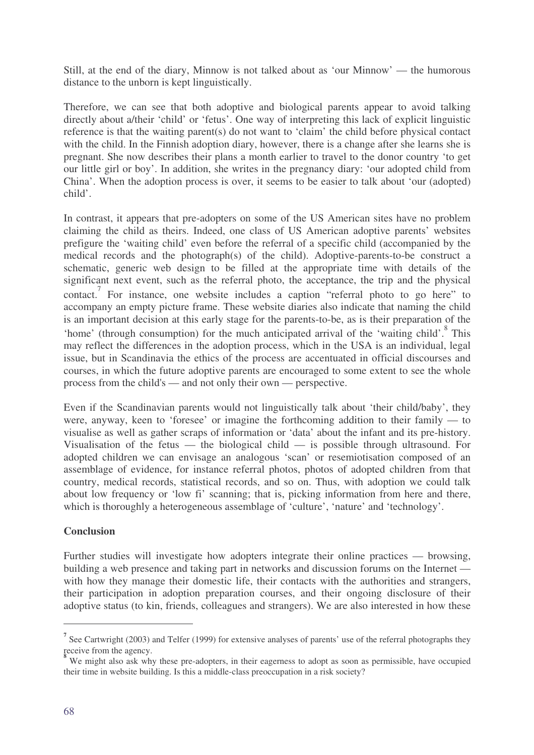Still, at the end of the diary, Minnow is not talked about as 'our Minnow' — the humorous distance to the unborn is kept linguistically.

Therefore, we can see that both adoptive and biological parents appear to avoid talking directly about a/their 'child' or 'fetus'. One way of interpreting this lack of explicit linguistic reference is that the waiting parent(s) do not want to 'claim' the child before physical contact with the child. In the Finnish adoption diary, however, there is a change after she learns she is pregnant. She now describes their plans a month earlier to travel to the donor country 'to get our little girl or boy'. In addition, she writes in the pregnancy diary: 'our adopted child from China'. When the adoption process is over, it seems to be easier to talk about 'our (adopted) child'.

In contrast, it appears that pre-adopters on some of the US American sites have no problem claiming the child as theirs. Indeed, one class of US American adoptive parents' websites prefigure the 'waiting child' even before the referral of a specific child (accompanied by the medical records and the photograph(s) of the child). Adoptive-parents-to-be construct a schematic, generic web design to be filled at the appropriate time with details of the significant next event, such as the referral photo, the acceptance, the trip and the physical contact.<sup>7</sup> For instance, one website includes a caption "referral photo to go here" to accompany an empty picture frame. These website diaries also indicate that naming the child is an important decision at this early stage for the parents-to-be, as is their preparation of the 'home' (through consumption) for the much anticipated arrival of the 'waiting child'.<sup>8</sup> This may reflect the differences in the adoption process, which in the USA is an individual, legal issue, but in Scandinavia the ethics of the process are accentuated in official discourses and courses, in which the future adoptive parents are encouraged to some extent to see the whole process from the child's — and not only their own — perspective.

Even if the Scandinavian parents would not linguistically talk about 'their child/baby', they were, anyway, keen to 'foresee' or imagine the forthcoming addition to their family — to visualise as well as gather scraps of information or 'data' about the infant and its pre-history. Visualisation of the fetus — the biological child — is possible through ultrasound. For adopted children we can envisage an analogous 'scan' or resemiotisation composed of an assemblage of evidence, for instance referral photos, photos of adopted children from that country, medical records, statistical records, and so on. Thus, with adoption we could talk about low frequency or 'low fi' scanning; that is, picking information from here and there, which is thoroughly a heterogeneous assemblage of 'culture', 'nature' and 'technology'.

## **Conclusion**

Further studies will investigate how adopters integrate their online practices — browsing, building a web presence and taking part in networks and discussion forums on the Internet with how they manage their domestic life, their contacts with the authorities and strangers, their participation in adoption preparation courses, and their ongoing disclosure of their adoptive status (to kin, friends, colleagues and strangers). We are also interested in how these

<sup>&</sup>lt;sup>7</sup> See Cartwright (2003) and Telfer (1999) for extensive analyses of parents' use of the referral photographs they receive from the agency.

We might also ask why these pre-adopters, in their eagerness to adopt as soon as permissible, have occupied their time in website building. Is this a middle-class preoccupation in a risk society?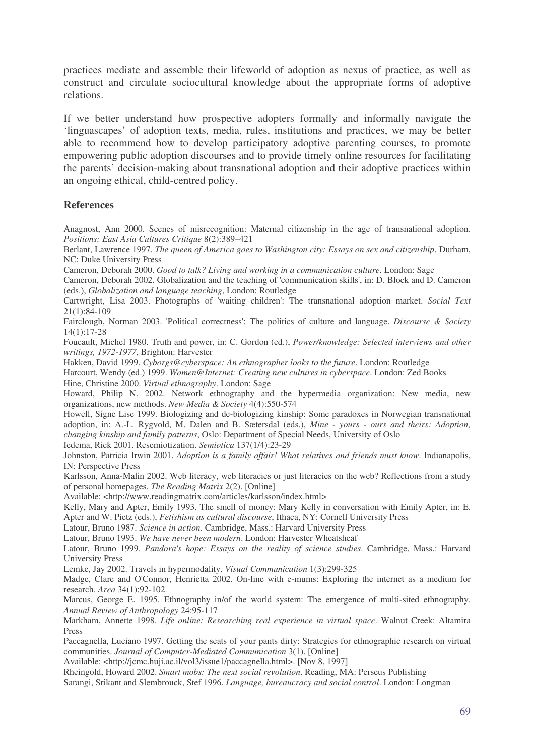practices mediate and assemble their lifeworld of adoption as nexus of practice, as well as construct and circulate sociocultural knowledge about the appropriate forms of adoptive relations.

If we better understand how prospective adopters formally and informally navigate the 'linguascapes' of adoption texts, media, rules, institutions and practices, we may be better able to recommend how to develop participatory adoptive parenting courses, to promote empowering public adoption discourses and to provide timely online resources for facilitating the parents' decision-making about transnational adoption and their adoptive practices within an ongoing ethical, child-centred policy.

## **References**

Anagnost, Ann 2000. Scenes of misrecognition: Maternal citizenship in the age of transnational adoption. *Positions: East Asia Cultures Critique* 8(2):389–421

Berlant, Lawrence 1997. *The queen of America goes to Washington city: Essays on sex and citizenship*. Durham, NC: Duke University Press

Cameron, Deborah 2000. *Good to talk? Living and working in a communication culture*. London: Sage

Cameron, Deborah 2002. Globalization and the teaching of 'communication skills', in: D. Block and D. Cameron (eds.), *Globalization and language teaching*, London: Routledge

Cartwright, Lisa 2003. Photographs of 'waiting children': The transnational adoption market. *Social Text* 21(1):84-109

Fairclough, Norman 2003. 'Political correctness': The politics of culture and language. *Discourse & Society* 14(1):17-28

Foucault, Michel 1980. Truth and power, in: C. Gordon (ed.), *Power/knowledge: Selected interviews and other writings, 1972-1977*, Brighton: Harvester

Hakken, David 1999. *Cyborgs@cyberspace: An ethnographer looks to the future*. London: Routledge

Harcourt, Wendy (ed.) 1999. *Women@Internet: Creating new cultures in cyberspace*. London: Zed Books

Hine, Christine 2000. *Virtual ethnography*. London: Sage

Howard, Philip N. 2002. Network ethnography and the hypermedia organization: New media, new organizations, new methods. *New Media & Society* 4(4):550-574

Howell, Signe Lise 1999. Biologizing and de-biologizing kinship: Some paradoxes in Norwegian transnational adoption, in: A.-L. Rygvold, M. Dalen and B. Sætersdal (eds.), *Mine - yours - ours and theirs: Adoption, changing kinship and family patterns*, Oslo: Department of Special Needs, University of Oslo

Iedema, Rick 2001. Resemiotization. *Semiotica* 137(1/4):23-29

Johnston, Patricia Irwin 2001. *Adoption is a family affair! What relatives and friends must know*. Indianapolis, IN: Perspective Press

Karlsson, Anna-Malin 2002. Web literacy, web literacies or just literacies on the web? Reflections from a study of personal homepages. *The Reading Matrix* 2(2). [Online]

Available: <http://www.readingmatrix.com/articles/karlsson/index.html>

Kelly, Mary and Apter, Emily 1993. The smell of money: Mary Kelly in conversation with Emily Apter, in: E. Apter and W. Pietz (eds.), *Fetishism as cultural discourse*, Ithaca, NY: Cornell University Press

Latour, Bruno 1987. *Science in action*. Cambridge, Mass.: Harvard University Press

Latour, Bruno 1993. *We have never been modern*. London: Harvester Wheatsheaf

Latour, Bruno 1999. *Pandora's hope: Essays on the reality of science studies*. Cambridge, Mass.: Harvard University Press

Lemke, Jay 2002. Travels in hypermodality. *Visual Communication* 1(3):299-325

Madge, Clare and O'Connor, Henrietta 2002. On-line with e-mums: Exploring the internet as a medium for research. *Area* 34(1):92-102

Marcus, George E. 1995. Ethnography in/of the world system: The emergence of multi-sited ethnography. *Annual Review of Anthropology* 24:95-117

Markham, Annette 1998. *Life online: Researching real experience in virtual space*. Walnut Creek: Altamira Press

Paccagnella, Luciano 1997. Getting the seats of your pants dirty: Strategies for ethnographic research on virtual communities. *Journal of Computer-Mediated Communication* 3(1). [Online]

Available: <http://jcmc.huji.ac.il/vol3/issue1/paccagnella.html>. [Nov 8, 1997]

Rheingold, Howard 2002. *Smart mobs: The next social revolution*. Reading, MA: Perseus Publishing

Sarangi, Srikant and Slembrouck, Stef 1996. *Language, bureaucracy and social control*. London: Longman